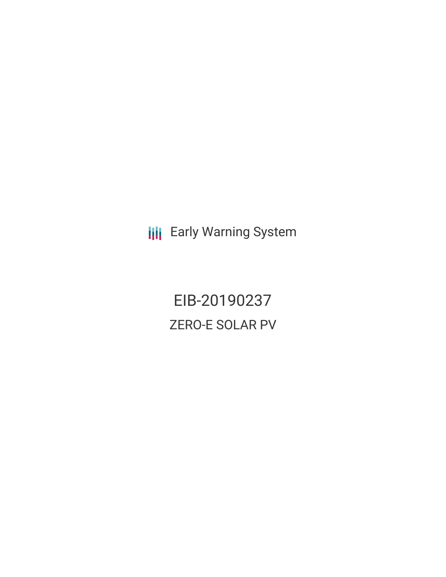**III** Early Warning System

EIB-20190237 ZERO-E SOLAR PV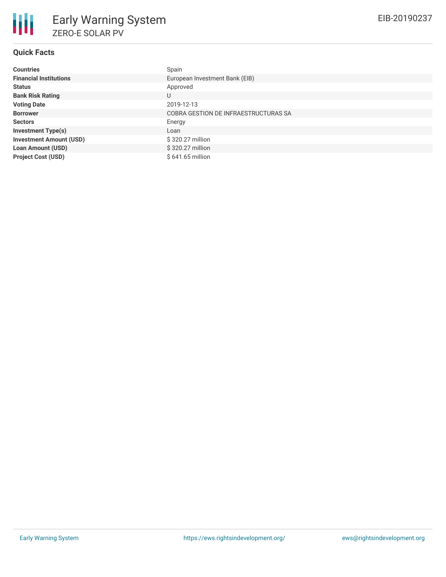

## **Quick Facts**

| <b>Countries</b>               | Spain                                |
|--------------------------------|--------------------------------------|
| <b>Financial Institutions</b>  | European Investment Bank (EIB)       |
| <b>Status</b>                  | Approved                             |
| <b>Bank Risk Rating</b>        | U                                    |
| <b>Voting Date</b>             | 2019-12-13                           |
| <b>Borrower</b>                | COBRA GESTION DE INFRAESTRUCTURAS SA |
| <b>Sectors</b>                 | Energy                               |
| <b>Investment Type(s)</b>      | Loan                                 |
| <b>Investment Amount (USD)</b> | \$320.27 million                     |
| <b>Loan Amount (USD)</b>       | \$320.27 million                     |
| <b>Project Cost (USD)</b>      | $$641.65$ million                    |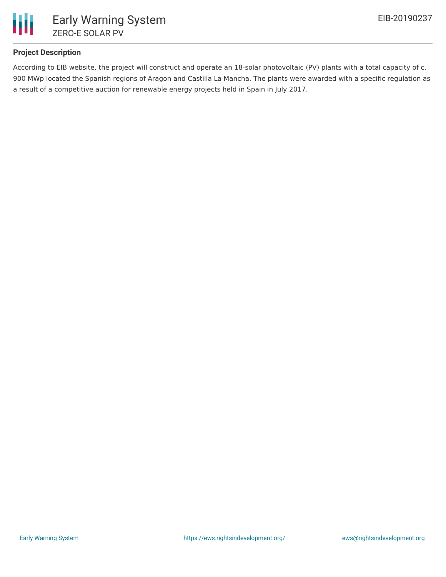

## **Project Description**

According to EIB website, the project will construct and operate an 18-solar photovoltaic (PV) plants with a total capacity of c. 900 MWp located the Spanish regions of Aragon and Castilla La Mancha. The plants were awarded with a specific regulation as a result of a competitive auction for renewable energy projects held in Spain in July 2017.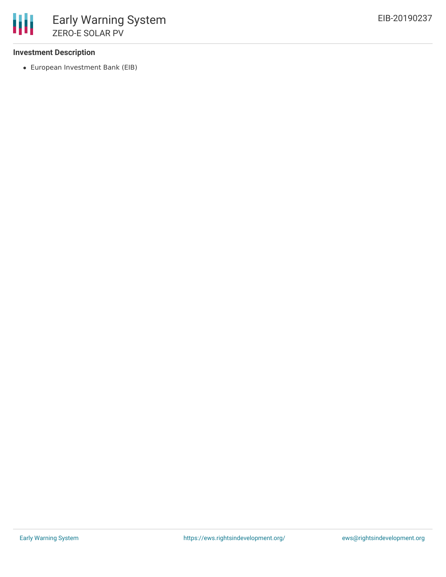## **Investment Description**

European Investment Bank (EIB)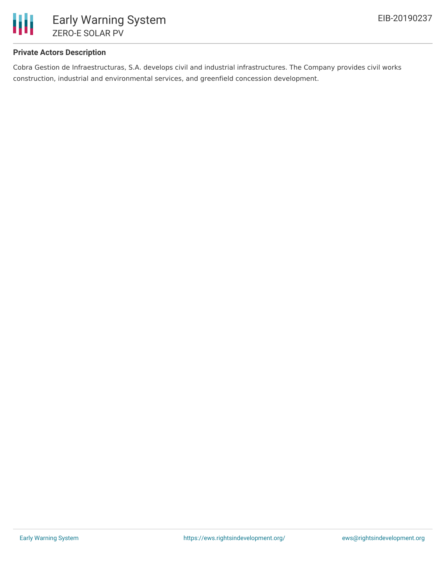

## **Private Actors Description**

Cobra Gestion de Infraestructuras, S.A. develops civil and industrial infrastructures. The Company provides civil works construction, industrial and environmental services, and greenfield concession development.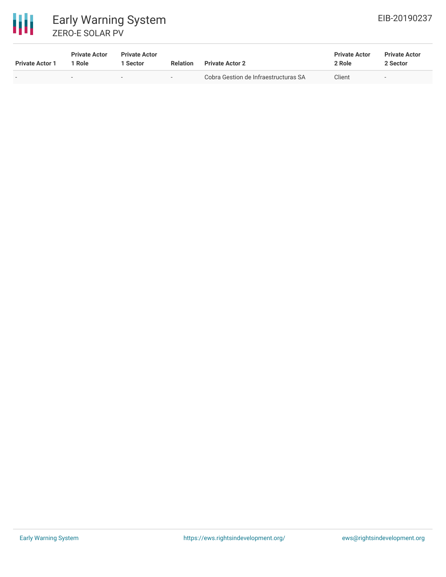

# 冊 Early Warning System ZERO-E SOLAR PV

| <b>Private Actor 1</b>   | <b>Private Actor</b><br>1 Role | <b>Private Actor</b><br><b>Sector</b> | <b>Relation</b>          | <b>Private Actor 2</b>               | <b>Private Actor</b><br>2 Role | <b>Private Actor</b><br>2 Sector |
|--------------------------|--------------------------------|---------------------------------------|--------------------------|--------------------------------------|--------------------------------|----------------------------------|
| $\overline{\phantom{0}}$ | $\overline{\phantom{0}}$       | $-$                                   | $\overline{\phantom{a}}$ | Cobra Gestion de Infraestructuras SA | Client                         | $-$                              |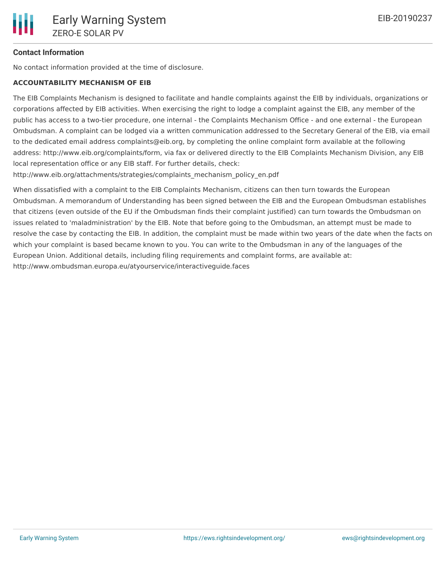## **Contact Information**

No contact information provided at the time of disclosure.

#### **ACCOUNTABILITY MECHANISM OF EIB**

The EIB Complaints Mechanism is designed to facilitate and handle complaints against the EIB by individuals, organizations or corporations affected by EIB activities. When exercising the right to lodge a complaint against the EIB, any member of the public has access to a two-tier procedure, one internal - the Complaints Mechanism Office - and one external - the European Ombudsman. A complaint can be lodged via a written communication addressed to the Secretary General of the EIB, via email to the dedicated email address complaints@eib.org, by completing the online complaint form available at the following address: http://www.eib.org/complaints/form, via fax or delivered directly to the EIB Complaints Mechanism Division, any EIB local representation office or any EIB staff. For further details, check:

http://www.eib.org/attachments/strategies/complaints\_mechanism\_policy\_en.pdf

When dissatisfied with a complaint to the EIB Complaints Mechanism, citizens can then turn towards the European Ombudsman. A memorandum of Understanding has been signed between the EIB and the European Ombudsman establishes that citizens (even outside of the EU if the Ombudsman finds their complaint justified) can turn towards the Ombudsman on issues related to 'maladministration' by the EIB. Note that before going to the Ombudsman, an attempt must be made to resolve the case by contacting the EIB. In addition, the complaint must be made within two years of the date when the facts on which your complaint is based became known to you. You can write to the Ombudsman in any of the languages of the European Union. Additional details, including filing requirements and complaint forms, are available at: http://www.ombudsman.europa.eu/atyourservice/interactiveguide.faces